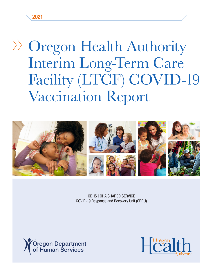# Oregon Health Authority Interim Long-Term Care Facility (LTCF) COVID-19 Vaccination Report



ODHS | OHA SHARED SERVICE COVID-19 Response and Recovery Unit (CRRU)



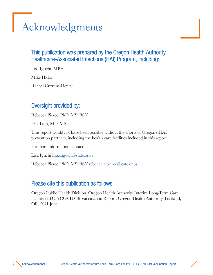## Acknowledgments

## This publication was prepared by the Oregon Health Authority Healthcare-Associated Infections (HAI) Program, including:

Lisa Iguchi, MPH

Mike Hicks

Rachel Currans-Henry

## Oversight provided by:

Rebecca Pierce, PhD, MS, BSN

Dat Tran, MD, MS

This report would not have been possible without the efforts of Oregon's HAI prevention partners, including the health care facilities included in this report.

For more information contact:

Lisa Iguchi lisa.c.iguchi@state.or.us

Rebecca Pierce, PhD, MS, BSN rebecca.a.pierce@state.or.us

#### Please cite this publication as follows:

Oregon Public Health Division. Oregon Health Authority Interim Long-Term Care Facility (LTCF) COVID-19 Vaccination Report. Oregon Health Authority. Portland, OR. 2021 June.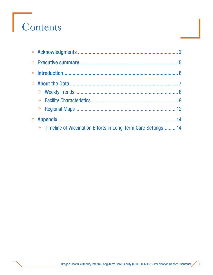# Contents

| <sup>»</sup> Timeline of Vaccination Efforts in Long-Term Care Settings 14 |  |
|----------------------------------------------------------------------------|--|

 $\overline{\mathbf{3}}$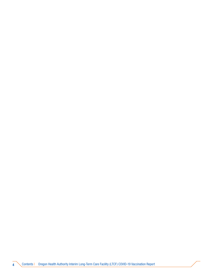Contents | Oregon Health Authority Interim Long-Term Care Facility (LTCF) COVID-19 Vaccination Report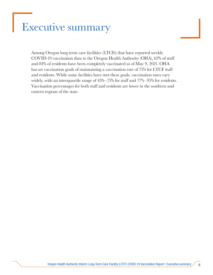## Executive summary

Among Oregon long-term care facilities (LTCFs) that have reported weekly COVID-19 vaccination data to the Oregon Health Authority (OHA), 62% of staff and 84% of residents have been completely vaccinated as of May 9, 2021. OHA has set vaccination goals of maintaining a vaccination rate of 75% for LTCF staff and residents. While some facilities have met these goals, vaccination rates vary widely, with an interquartile range of 45%–75% for staff and 77%–95% for residents. Vaccination percentages for both staff and residents are lower in the southern and eastern regions of the state.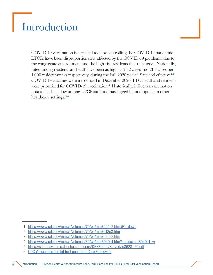## Introduction

COVID-19 vaccination is a critical tool for controlling the COVID-19 pandemic. LTCFs have been disproportionately affected by the COVID-19 pandemic due to the congregate environment and the high-risk residents that they serve. Nationally, rates among residents and staff have been as high as 23.2 cases and 21.3 cases per 1,000 resident-weeks respectively, during the Fall 2020 peak.<sup>1</sup> Safe and effective<sup>2,3</sup> COVID-19 vaccines were introduced in December 2020. LTCF staff and residents were prioritized for COVID-19 vaccination.<sup>4</sup> Historically, influenza vaccination uptake has been low among LTCF staff and has lagged behind uptake in other healthcare settings.<sup>5,6</sup>

<sup>1</sup> https://www.cdc.gov/mmwr/volumes/70/wr/mm7002e2.htm#F1\_down

<sup>2</sup> https://www.cdc.gov/mmwr/volumes/70/wr/mm7013e3.htm

<sup>3</sup> https://www.cdc.gov/mmwr/volumes/70/wr/mm7020e2.htm

<sup>4</sup> https://www.cdc.gov/mmwr/volumes/69/wr/mm6949e1.htm?s\_cid=mm6949e1\_w

<sup>5</sup> https://sharedsystems.dhsoha.state.or.us/DHSForms/Served/le8628\_20.pdf

<sup>6</sup> CDC Vaccination Toolkit for Long-Term Care Employers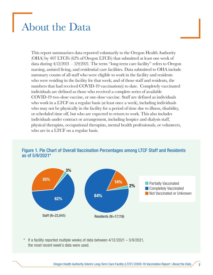## About the Data

This report summarizes data reported voluntarily to the Oregon Health Authority (OHA) by 407 LTCFs (62% of Oregon LTCFs) that submitted at least one week of data during 4/12/2021 – 5/9/2021. The term "long-term care facility" refers to Oregon nursing, assisted living, and residential care facilities. Data submitted to OHA include summary counts of all staff who were eligible to work in the facility and residents who were residing in the facility for that week; and of those staff and residents, the numbers that had received COVID-19 vaccination(s) to date. Completely vaccinated individuals are defined as those who received a complete series of available COVID-19 two-dose vaccine, or one-dose vaccine. Staff are defined as individuals who work in a LTCF on a regular basis (at least once a week), including individuals who may not be physically in the facility for a period of time due to illness, disability, or scheduled time off, but who are expected to return to work. This also includes individuals under contract or arrangement, including hospice and dialysis staff, physical therapists, occupational therapists, mental health professionals, or volunteers, who are in a LTCF on a regular basis.



#### Figure 1. Pie Chart of Overall Vaccination Percentages among LTCF Staff and Residents as of 5/9/2021\*

\* If a facility reported multiple weeks of data between 4/12/2021 – 5/9/2021, the most recent week's data were used.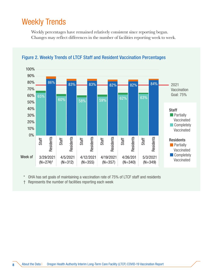## Weekly Trends

Weekly percentages have remained relatively consistent since reporting began. Changes may reflect differences in the number of facilities reporting week to week.



#### Figure 2. Weekly Trends of LTCF Staff and Resident Vaccination Percentages

\* OHA has set goals of maintaining a vaccination rate of 75% of LTCF staff and residents

† Represents the number of facilities reporting each week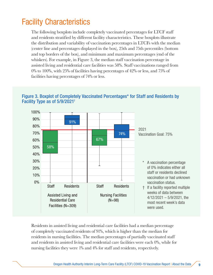## Facility Characteristics

The following boxplots include completely vaccinated percentages for LTCF staff and residents stratified by different facility characteristics. These boxplots illustrate the distribution and variability of vaccination percentages in LTCFs with the median (center line and percentages displayed in the box), 25th and 75th percentiles (bottom and top borders of the box), and minimum and maximum percentages (end of the whiskers). For example, in Figure 3, the median staff vaccination percentage in assisted living and residential care facilities was 58%. Staff vaccinations ranged from 0% to 100%, with 25% of facilities having percentages of 42% or less, and 75% of facilities having percentages of 74% or less.



#### Figure 3. Boxplot of Completely Vaccinated Percentages\* for Staff and Residents by Facility Type as of 5/9/2021†

Residents in assisted living and residential care facilities had a median percentage of completely vaccinated residents of 91%, which is higher than the median for residents in nursing facilities. The median percentages of partially vaccinated staff and residents in assisted living and residential care facilities were each 0%, while for nursing facilities they were 1% and 4% for staff and residents, respectively.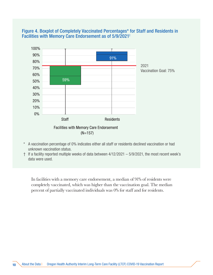

#### Figure 4. Boxplot of Completely Vaccinated Percentages\* for Staff and Residents in Facilities with Memory Care Endorsement as of 5/9/2021†

- \* A vaccination percentage of 0% indicates either all staff or residents declined vaccination or had unknown vaccination status.
- † If a facility reported multiple weeks of data between 4/12/2021 5/9/2021, the most recent week's data were used.

In facilities with a memory care endorsement, a median of 91% of residents were completely vaccinated, which was higher than the vaccination goal. The median percent of partially vaccinated individuals was 0% for staff and for residents.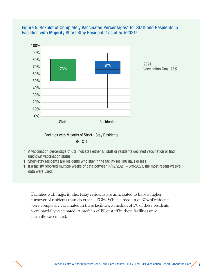

#### Figure 5. Boxplot of Completely Vaccinated Percentages\* for Staff and Residents in Facilities with Majority Short-Stay Residents† as of 5/9/2021‡

Facilities with Majority of Short - Stay Residents  $(N=21)$ 

- \* A vaccination percentage of 0% indicates either all staff or residents declined vaccination or had unknown vaccination status.
- † Short-stay residents are residents who stay in the facility for 100 days or less
- $\ddagger$  If a facility reported multiple weeks of data between 4/12/2021 5/9/2021, the most recent week's data were used.

Facilities with majority short-stay residents are anticipated to have a higher turnover of residents than do other LTCFs. While a median of 67% of residents were completely vaccinated in these facilities, a median of 5% of these residents were partially vaccinated. A median of 1% of staff in these facilities were partially vaccinated.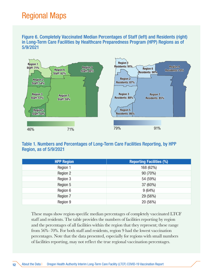## Regional Maps

Figure 6. Completely Vaccinated Median Percentages of Staff (left) and Residents (right) in Long-Term Care Facilities by Healthcare Preparedness Program (HPP) Regions as of 5/9/2021



#### Table 1. Numbers and Percentages of Long-Term Care Facilities Reporting, by HPP Region, as of 5/9/2021

| <b>HPP Region</b> | <b>Reporting Facilities (%)</b> |
|-------------------|---------------------------------|
| Region 1          | 168 (62%)                       |
| Region 2          | 90 (70%)                        |
| Region 3          | 54 (59%)                        |
| Region 5          | 37 (60%)                        |
| Region 6          | 9(64%)                          |
| Region 7          | 29 (56%)                        |
| Region 9          | 20 (56%)                        |

These maps show region-specific median percentages of completely vaccinated LTCF staff and residents. The table provides the numbers of facilities reporting by region and the percentages of all facilities within the region that they represent; these range from 56%–70%. For both staff and residents, region 9 had the lowest vaccination percentages. Note that the data presented, especially for regions with small numbers of facilities reporting, may not reflect the true regional vaccination percentages.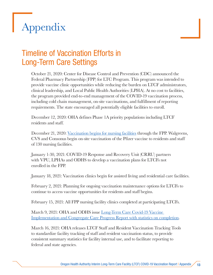# Appendix

## Timeline of Vaccination Efforts in Long-Term Care Settings

October 21, 2020: Center for Disease Control and Prevention (CDC) announced the Federal Pharmacy Partnership (FPP) for LTC Program. This program was intended to provide vaccine clinic opportunities while reducing the burden on LTCF administrators, clinical leadership, and Local Public Health Authorities (LPHA). At no cost to facilities, the program provided end-to-end management of the COVID-19 vaccination process, including cold chain management, on-site vaccinations, and fulfillment of reporting requirements. The state encouraged all potentially eligible facilities to enroll.

December 12, 2020: OHA defines Phase 1A priority populations including LTCF residents and staff.

December 21, 2020: <u>Vaccination begins for nursing facilities</u> through the FPP. Walgreens, CVS and Consonus begin on-site vaccination of the Pfizer vaccine to residents and staff of 130 nursing facilities.

January 1-30, 2021: COVID-19 Response and Recovery Unit (CRRU) partners with VPU, LPHAs and ODHS to develop a vaccination plans for LTCFs not enrolled in the FPP.

January 18, 2021: Vaccination clinics begin for assisted living and residential care facilities.

February 2, 2021: Planning for ongoing vaccination maintenance options for LTCFs to continue to access vaccine opportunities for residents and staff begins.

February 15, 2021: All FPP nursing facility clinics completed at participating LTCFs.

March 9, 2021: OHA and ODHS issue Long-Term Care Covid-19 Vaccine Implementation and Congregate Care Progress Report with statistics on completion.

March 16, 2021: OHA releases LTCF Staff and Resident Vaccination Tracking Tools to standardize facility tracking of staff and resident vaccination status, to provide consistent summary statistics for facility internal use, and to facilitate reporting to federal and state agencies.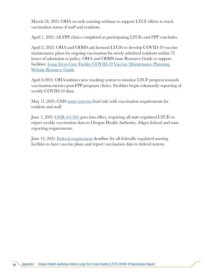March 24, 2021: OHA records training webinar to support LTCF efforts to track vaccination status of staff and residents.

April 1, 2021: All FPP clinics completed at participating LTCFs and FPP concludes.

April 2, 2021: OHA and ODHS ask licensed LTCFs to develop COVID-19 vaccine maintenance plans for ongoing vaccination for newly admitted residents within 72 hours of admission as policy. OHA and ODHS issue Resource Guide to support facilities: Long-Term Care Facility COVID-19 Vaccine Maintenance Planning Website Resource Guide.

April 4,2021: OHA initiates new tracking system to monitor LTCF progress towards vaccination metrics post-FPP program clinics. Facilities begin voluntarily reporting of weekly COVID-19 data.

May 11, 2021: CMS issues interim final rule with vaccination requirements for resident and staff.

June 1, 2021: **OAR-411-061** goes into effect, requiring all state regulated LTCFs to report weekly vaccination data to Oregon Health Authority. Aligns federal and state reporting requirements.

June 13, 2021: Federal requirement deadline for all federally regulated nursing facilities to have vaccine plans and report vaccination data to federal system.